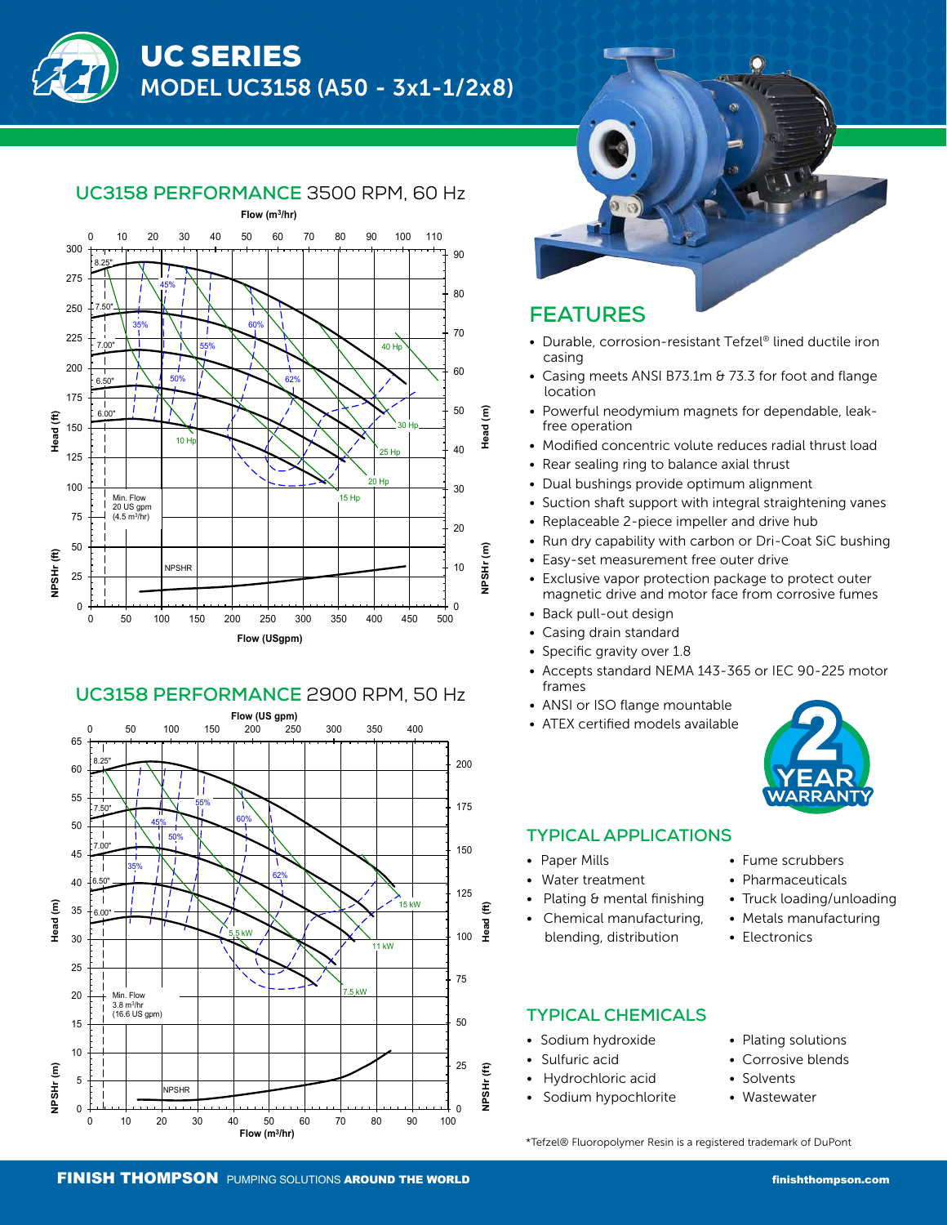



# **UC3158 PERFORMANCE** 3500 RPM, 60 Hz

# **UC3158 PERFORMANCE** 2900 RPM, 50 Hz





# **FEATURES**

- Durable, corrosion-resistant Tefzel® lined ductile iron casing
- Casing meets ANSI B73.1m & 73.3 for foot and flange location
- Powerful neodymium magnets for dependable, leak free operation
- Modified concentric volute reduces radial thrust load
- Rear sealing ring to balance axial thrust
- Dual bushings provide optimum alignment
- Suction shaft support with integral straightening vanes
- Replaceable 2-piece impeller and drive hub
- Run dry capability with carbon or Dri-Coat SiC bushing
- Easy-set measurement free outer drive
- Exclusive vapor protection package to protect outer magnetic drive and motor face from corrosive fumes
- Back pull-out design
- Casing drain standard
- Specific gravity over 1.8
- Accepts standard NEMA 143-365 or IEC 90-225 motor frames
- ANSI or ISO flange mountable
- ATEX certified models available



## **TYPICAL APPLICATIONS**

- Paper Mills
- Water treatment
- Plating & mental finishing
- Chemical manufacturing, blending, distribution

## **TYPICAL CHEMICALS**

- Sodium hydroxide
- Sulfuric acid
- Hydrochloric acid
- Sodium hypochlorite
- Fume scrubbers • Pharmaceuticals
- Truck loading/unloading
- Metals manufacturing
- Electronics
- Plating solutions
	- Corrosive blends
- **Solvents**
- Wastewater

\*Tefzel® Fluoropolymer Resin is a registered trademark of DuPont